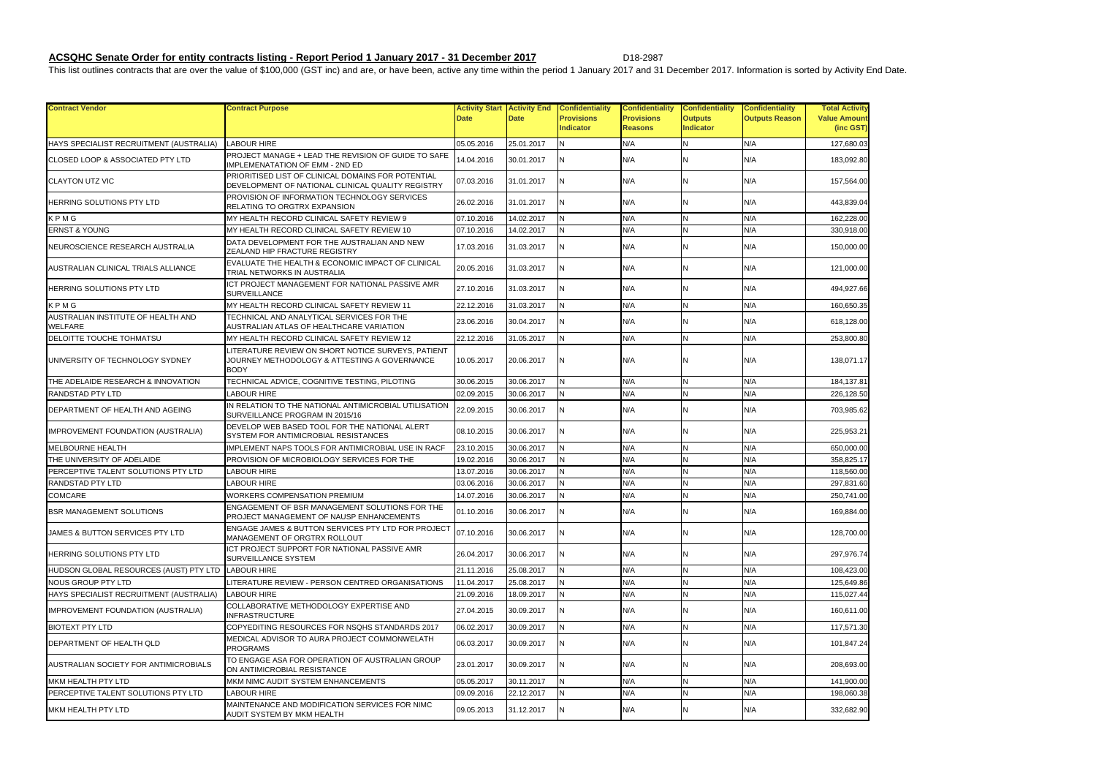## **ACSQHC Senate Order for entity contracts listing - Report Period 1 January 2017 - 31 December 2017** D18-2987

This list outlines contracts that are over the value of \$100,000 (GST inc) and are, or have been, active any time within the period 1 January 2017 and 31 December 2017. Information is sorted by Activity End Date.

| <b>Total Activity</b>            |
|----------------------------------|
| <b>Value Amount</b><br>(inc GST) |
| 127,680.03                       |
|                                  |
| 183,092.80                       |
| 157,564.00                       |
| 443,839.04                       |
| 162,228.00                       |
| 330,918.00                       |
| 150,000.00                       |
| 121,000.00                       |
| 494,927.66                       |
| 160,650.35                       |
| 618,128.00                       |
| 253,800.80                       |
| 138,071.17                       |
| 184,137.81                       |
| 226,128.50                       |
| 703,985.62                       |
| 225,953.21                       |
| 650,000.00                       |
| 358,825.17                       |
| 118,560.00                       |
| 297,831.60                       |
| 250,741.00                       |
| 69,884.00                        |
| 128,700.00                       |
| 297,976.74                       |
| 108,423.00                       |
| 125,649.86                       |
| 115,027.44                       |
| 160,611.00                       |
| 117,571.30                       |
| 101,847.24                       |
| 208,693.00                       |
| 141,900.00                       |
| 198,060.38                       |
| 332,682.90                       |

| <b>Contract Vendor</b>                               | <b>Contract Purpose</b>                                                                                           | <b>Date</b> | <b>Activity Start Activity End</b><br><b>Date</b> | <b>Confidentiality</b><br><b>Provisions</b><br><b>Indicator</b> | <b>Confidentiality</b><br><b>Provisions</b><br><b>Reasons</b> | <b>Confidentiality</b><br><b>Outputs</b><br>Indicator | <b>Confidentiality</b><br><b>Outputs Reason</b> | <b>Total Activity</b><br><b>Value Amount</b><br>(inc GST) |
|------------------------------------------------------|-------------------------------------------------------------------------------------------------------------------|-------------|---------------------------------------------------|-----------------------------------------------------------------|---------------------------------------------------------------|-------------------------------------------------------|-------------------------------------------------|-----------------------------------------------------------|
| HAYS SPECIALIST RECRUITMENT (AUSTRALIA)              | <b>LABOUR HIRE</b>                                                                                                | 05.05.2016  | 25.01.2017                                        | <b>N</b>                                                        | N/A                                                           | <b>N</b>                                              | N/A                                             | 127,680.03                                                |
| CLOSED LOOP & ASSOCIATED PTY LTD                     | PROJECT MANAGE + LEAD THE REVISION OF GUIDE TO SAFE<br><b>IMPLEMENATATION OF EMM - 2ND ED</b>                     | 14.04.2016  | 30.01.2017                                        | N                                                               | N/A                                                           | ΙN                                                    | N/A                                             | 183,092.80                                                |
| <b>CLAYTON UTZ VIC</b>                               | PRIORITISED LIST OF CLINICAL DOMAINS FOR POTENTIAL<br>DEVELOPMENT OF NATIONAL CLINICAL QUALITY REGISTRY           | 07.03.2016  | 31.01.2017                                        | ΙN                                                              | N/A                                                           | ΙN                                                    | N/A                                             | 157,564.00                                                |
| HERRING SOLUTIONS PTY LTD                            | PROVISION OF INFORMATION TECHNOLOGY SERVICES<br>RELATING TO ORGTRX EXPANSION                                      | 26.02.2016  | 31.01.2017                                        | IN.                                                             | N/A                                                           | ΙN                                                    | N/A                                             | 443,839.04                                                |
| KPMG                                                 | MY HEALTH RECORD CLINICAL SAFETY REVIEW 9                                                                         | 07.10.2016  | 14.02.2017                                        | N                                                               | N/A                                                           | IN.                                                   | N/A                                             | 162,228.00                                                |
| <b>ERNST &amp; YOUNG</b>                             | MY HEALTH RECORD CLINICAL SAFETY REVIEW 10                                                                        | 07.10.2016  | 14.02.2017                                        | N                                                               | N/A                                                           | IN.                                                   | N/A                                             | 330,918.00                                                |
| NEUROSCIENCE RESEARCH AUSTRALIA                      | DATA DEVELOPMENT FOR THE AUSTRALIAN AND NEW<br>ZEALAND HIP FRACTURE REGISTRY                                      | 17.03.2016  | 31.03.2017                                        | ΙN                                                              | N/A                                                           | IΝ                                                    | N/A                                             | 150,000.00                                                |
| AUSTRALIAN CLINICAL TRIALS ALLIANCE                  | EVALUATE THE HEALTH & ECONOMIC IMPACT OF CLINICAL<br>TRIAL NETWORKS IN AUSTRALIA                                  | 20.05.2016  | 31.03.2017                                        | IN.                                                             | N/A                                                           | ΙN                                                    | N/A                                             | 121,000.00                                                |
| HERRING SOLUTIONS PTY LTD                            | ICT PROJECT MANAGEMENT FOR NATIONAL PASSIVE AMR<br><b>SURVEILLANCE</b>                                            | 27.10.2016  | 31.03.2017                                        | IN.                                                             | N/A                                                           | ΙN                                                    | N/A                                             | 494,927.66                                                |
| KPMG                                                 | MY HEALTH RECORD CLINICAL SAFETY REVIEW 11                                                                        | 22.12.2016  | 31.03.2017                                        | N                                                               | N/A                                                           | İΝ                                                    | N/A                                             | 160,650.35                                                |
| AUSTRALIAN INSTITUTE OF HEALTH AND<br><b>WELFARE</b> | TECHNICAL AND ANALYTICAL SERVICES FOR THE<br>AUSTRALIAN ATLAS OF HEALTHCARE VARIATION                             | 23.06.2016  | 30.04.2017                                        | N                                                               | N/A                                                           | ΙN                                                    | N/A                                             | 618,128.00                                                |
| DELOITTE TOUCHE TOHMATSU                             | MY HEALTH RECORD CLINICAL SAFETY REVIEW 12                                                                        | 22.12.2016  | 31.05.2017                                        | N                                                               | N/A                                                           |                                                       | N/A                                             | 253,800.80                                                |
| UNIVERSITY OF TECHNOLOGY SYDNEY                      | LITERATURE REVIEW ON SHORT NOTICE SURVEYS, PATIENT<br>JOURNEY METHODOLOGY & ATTESTING A GOVERNANCE<br><b>BODY</b> | 10.05.2017  | 20.06.2017                                        | ΙN                                                              | N/A                                                           | ΙN                                                    | N/A                                             | 138,071.17                                                |
| THE ADELAIDE RESEARCH & INNOVATION                   | TECHNICAL ADVICE, COGNITIVE TESTING, PILOTING                                                                     | 30.06.2015  | 30.06.2017                                        | IN.                                                             | N/A                                                           | İΝ                                                    | N/A                                             | 184,137.81                                                |
| <b>RANDSTAD PTY LTD</b>                              | LABOUR HIRE                                                                                                       | 02.09.2015  | 30.06.2017                                        | N                                                               | N/A                                                           | IΝ                                                    | N/A                                             | 226,128.50                                                |
| DEPARTMENT OF HEALTH AND AGEING                      | IN RELATION TO THE NATIONAL ANTIMICROBIAL UTILISATION<br>SURVEILLANCE PROGRAM IN 2015/16                          | 22.09.2015  | 30.06.2017                                        | N                                                               | N/A                                                           | ΙN                                                    | N/A                                             | 703,985.62                                                |
| IMPROVEMENT FOUNDATION (AUSTRALIA)                   | DEVELOP WEB BASED TOOL FOR THE NATIONAL ALERT<br><b>SYSTEM FOR ANTIMICROBIAL RESISTANCES</b>                      | 08.10.2015  | 30.06.2017                                        | IN.                                                             | N/A                                                           | ΙN                                                    | N/A                                             | 225,953.21                                                |
| MELBOURNE HEALTH                                     | IMPLEMENT NAPS TOOLS FOR ANTIMICROBIAL USE IN RACF                                                                | 23.10.2015  | 30.06.2017                                        | <b>N</b>                                                        | N/A                                                           | IΝ                                                    | N/A                                             | 650,000.00                                                |
| THE UNIVERSITY OF ADELAIDE                           | PROVISION OF MICROBIOLOGY SERVICES FOR THE                                                                        | 19.02.2016  | 30.06.2017                                        | N                                                               | N/A                                                           |                                                       | N/A                                             | 358.825.17                                                |
| PERCEPTIVE TALENT SOLUTIONS PTY LTD                  | LABOUR HIRE                                                                                                       | 13.07.2016  | 30.06.2017                                        | N                                                               | N/A                                                           | IΝ                                                    | N/A                                             | 118,560.00                                                |
| <b>RANDSTAD PTY LTD</b>                              | LABOUR HIRE                                                                                                       | 03.06.2016  | 30.06.2017                                        | N                                                               | N/A                                                           | IΝ                                                    | N/A                                             | 297.831.60                                                |
| <b>COMCARE</b>                                       | WORKERS COMPENSATION PREMIUM                                                                                      | 14.07.2016  | 30.06.2017                                        | N                                                               | N/A                                                           |                                                       | N/A                                             | 250,741.00                                                |
| <b>BSR MANAGEMENT SOLUTIONS</b>                      | ENGAGEMENT OF BSR MANAGEMENT SOLUTIONS FOR THE<br><b>PROJECT MANAGEMENT OF NAUSP ENHANCEMENTS</b>                 | 01.10.2016  | 30.06.2017                                        | IN.                                                             | N/A                                                           | ΙN                                                    | N/A                                             | 169,884.00                                                |
| JAMES & BUTTON SERVICES PTY LTD                      | ENGAGE JAMES & BUTTON SERVICES PTY LTD FOR PROJECT<br>MANAGEMENT OF ORGTRX ROLLOUT                                | 07.10.2016  | 30.06.2017                                        | IN.                                                             | N/A                                                           | IN.                                                   | N/A                                             | 128,700.00                                                |
| HERRING SOLUTIONS PTY LTD                            | ICT PROJECT SUPPORT FOR NATIONAL PASSIVE AMR<br>SURVEILLANCE SYSTEM                                               | 26.04.2017  | 30.06.2017                                        | ΙN                                                              | N/A                                                           | ΙN                                                    | N/A                                             | 297,976.74                                                |
| HUDSON GLOBAL RESOURCES (AUST) PTY LTD               | <b>LABOUR HIRE</b>                                                                                                | 21.11.2016  | 25.08.2017                                        | N                                                               | N/A                                                           |                                                       | N/A                                             | 108,423.00                                                |
| <b>NOUS GROUP PTY LTD</b>                            | LITERATURE REVIEW - PERSON CENTRED ORGANISATIONS                                                                  | 11.04.2017  | 25.08.2017                                        | N                                                               | N/A                                                           | IΝ                                                    | N/A                                             | 125,649.86                                                |
| HAYS SPECIALIST RECRUITMENT (AUSTRALIA)              | <b>LABOUR HIRE</b>                                                                                                | 21.09.2016  | 18.09.2017                                        | N                                                               | N/A                                                           | IΝ                                                    | N/A                                             | 115,027.44                                                |
| IMPROVEMENT FOUNDATION (AUSTRALIA)                   | COLLABORATIVE METHODOLOGY EXPERTISE AND<br><b>INFRASTRUCTURE</b>                                                  | 27.04.2015  | 30.09.2017                                        | IN.                                                             | N/A                                                           | ΙN                                                    | N/A                                             | 160,611.00                                                |
| <b>BIOTEXT PTY LTD</b>                               | COPYEDITING RESOURCES FOR NSQHS STANDARDS 2017                                                                    | 06.02.2017  | 30.09.2017                                        | N                                                               | N/A                                                           | IN.                                                   | N/A                                             | 117,571.30                                                |
| DEPARTMENT OF HEALTH QLD                             | MEDICAL ADVISOR TO AURA PROJECT COMMONWELATH<br><b>PROGRAMS</b>                                                   | 06.03.2017  | 30.09.2017                                        | N                                                               | N/A                                                           | ΙN                                                    | N/A                                             | 101,847.24                                                |
| AUSTRALIAN SOCIETY FOR ANTIMICROBIALS                | TO ENGAGE ASA FOR OPERATION OF AUSTRALIAN GROUP<br>ON ANTIMICROBIAL RESISTANCE                                    | 23.01.2017  | 30.09.2017                                        | ΙN                                                              | N/A                                                           | ΙN                                                    | N/A                                             | 208,693.00                                                |
| MKM HEALTH PTY LTD                                   | MKM NIMC AUDIT SYSTEM ENHANCEMENTS                                                                                | 05.05.2017  | 30.11.2017                                        | N                                                               | N/A                                                           | IΝ                                                    | N/A                                             | 141,900.00                                                |
| PERCEPTIVE TALENT SOLUTIONS PTY LTD                  | LABOUR HIRE                                                                                                       | 09.09.2016  | 22.12.2017                                        | N                                                               | N/A                                                           | IN.                                                   | N/A                                             | 198,060.38                                                |
| MKM HEALTH PTY LTD                                   | MAINTENANCE AND MODIFICATION SERVICES FOR NIMC<br>AUDIT SYSTEM BY MKM HEALTH                                      | 09.05.2013  | 31.12.2017                                        | IN.                                                             | N/A                                                           | ΙN                                                    | N/A                                             | 332,682.90                                                |